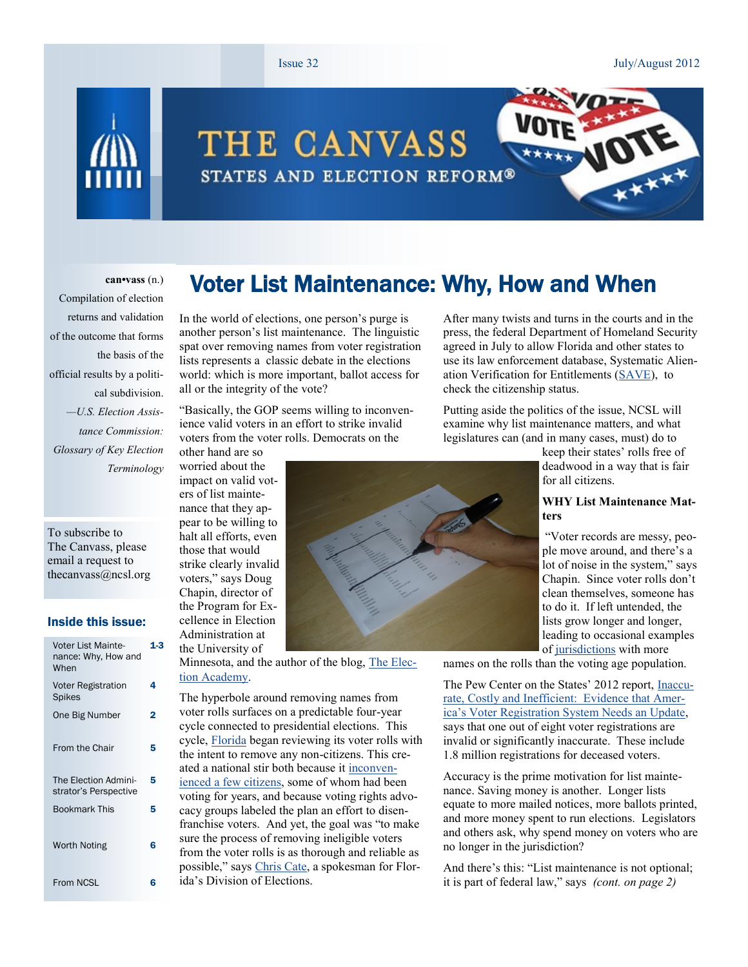#### Issue 32 July/August 2012

 $\sum_{i}$ 



# THE CANVASS STATES AND ELECTION REFORM®

#### **can•vass** (n.)

Compilation of election returns and validation of the outcome that forms the basis of the official results by a political subdivision. *—U.S. Election Assistance Commission: Glossary of Key Election Terminology*

To subscribe to The Canvass, please email a request to thecanvass@ncsl.org

#### Inside this issue:

| Voter List Mainte-<br>nance: Why, How and<br>When | 1.3 |
|---------------------------------------------------|-----|
| Voter Registration<br>Spikes                      | 4   |
| One Big Number                                    | 2   |
| From the Chair                                    | 5   |
| The Election Admini-<br>strator's Perspective     | 5   |
| <b>Bookmark This</b>                              | 5   |
| <b>Worth Noting</b>                               | 6   |
| From NCSL                                         | 6   |

In the world of elections, one person's purge is another person's list maintenance. The linguistic spat over removing names from voter registration lists represents a classic debate in the elections world: which is more important, ballot access for all or the integrity of the vote?

"Basically, the GOP seems willing to inconvenience valid voters in an effort to strike invalid voters from the voter rolls. Democrats on the other hand are so

worried about the impact on valid voters of list maintenance that they appear to be willing to halt all efforts, even those that would strike clearly invalid voters," says Doug Chapin, director of the Program for Excellence in Election Administration at

Minnesota, and the author of the blog, [The Elec](http://blog.lib.umn.edu/cspg/electionacademy/)[tion Academy.](http://blog.lib.umn.edu/cspg/electionacademy/)

The hyperbole around removing names from voter rolls surfaces on a predictable four-year cycle connected to presidential elections. This cycle, [Florida](http://www.palmbeachpost.com/news/news/state-regional-govt-politics/one-us-agency-working-with-florida-on-voter-purge-/nP7qg/) began reviewing its voter rolls with the intent to remove any non-citizens. This created a national stir both because it [inconven](http://www.foxnews.com/politics/2012/05/31/florida-tells-1-year-old-world-war-ii-veteran-must-prove-his-citizenship-to/)[ienced a few citizens,](http://www.foxnews.com/politics/2012/05/31/florida-tells-1-year-old-world-war-ii-veteran-must-prove-his-citizenship-to/) some of whom had been voting for years, and because voting rights advocacy groups labeled the plan an effort to disenfranchise voters. And yet, the goal was "to make sure the process of removing ineligible voters from the voter rolls is as thorough and reliable as possible," says [Chris Cate,](http://www.nytimes.com/2012/05/18/us/florida-attempts-to-scrub-illegal-voters.html?_r=3&ref=us) a spokesman for Florida's Division of Elections.

After many twists and turns in the courts and in the press, the federal Department of Homeland Security agreed in July to allow Florida and other states to use its law enforcement database, Systematic Alienation Verification for Entitlements ([SAVE\)](http://www.uscis.gov/portal/site/uscis/menuitem.eb1d4c2a3e5b9ac89243c6a7543f6d1a/?vgnextoid=1721c2ec0c7c8110VgnVCM1000004718190aRCRD&vgnextchannel=1721c2ec0c7c8110VgnVCM1000004718190aRCRD), to check the citizenship status.

Putting aside the politics of the issue, NCSL will examine why list maintenance matters, and what legislatures can (and in many cases, must) do to

> keep their states' rolls free of deadwood in a way that is fair for all citizens.

#### **WHY List Maintenance Matters**

"Voter records are messy, people move around, and there's a lot of noise in the system," says Chapin. Since voter rolls don't clean themselves, someone has to do it. If left untended, the lists grow longer and longer, leading to occasional examples of [jurisdictions](http://www.chron.com/news/houston-texas/article/Conservative-watchdog-group-questions-counties-3467513.php) with more

names on the rolls than the voting age population.

The Pew Center on the States' 2012 report, [Inaccu](http://www.pewstates.org/uploadedFiles/PCS_Assets/2012/Pew_Upgrading_Voter_Registration.pdf)[rate, Costly and Inefficient: Evidence that Amer](http://www.pewstates.org/uploadedFiles/PCS_Assets/2012/Pew_Upgrading_Voter_Registration.pdf)[ica's Voter Registration System Needs an Update](http://www.pewstates.org/uploadedFiles/PCS_Assets/2012/Pew_Upgrading_Voter_Registration.pdf), says that one out of eight voter registrations are invalid or significantly inaccurate. These include 1.8 million registrations for deceased voters.

Accuracy is the prime motivation for list maintenance. Saving money is another. Longer lists equate to more mailed notices, more ballots printed, and more money spent to run elections. Legislators and others ask, why spend money on voters who are no longer in the jurisdiction?

And there's this: "List maintenance is not optional; it is part of federal law," says *(cont. on page 2)*



Voter List Maintenance: Why, How and When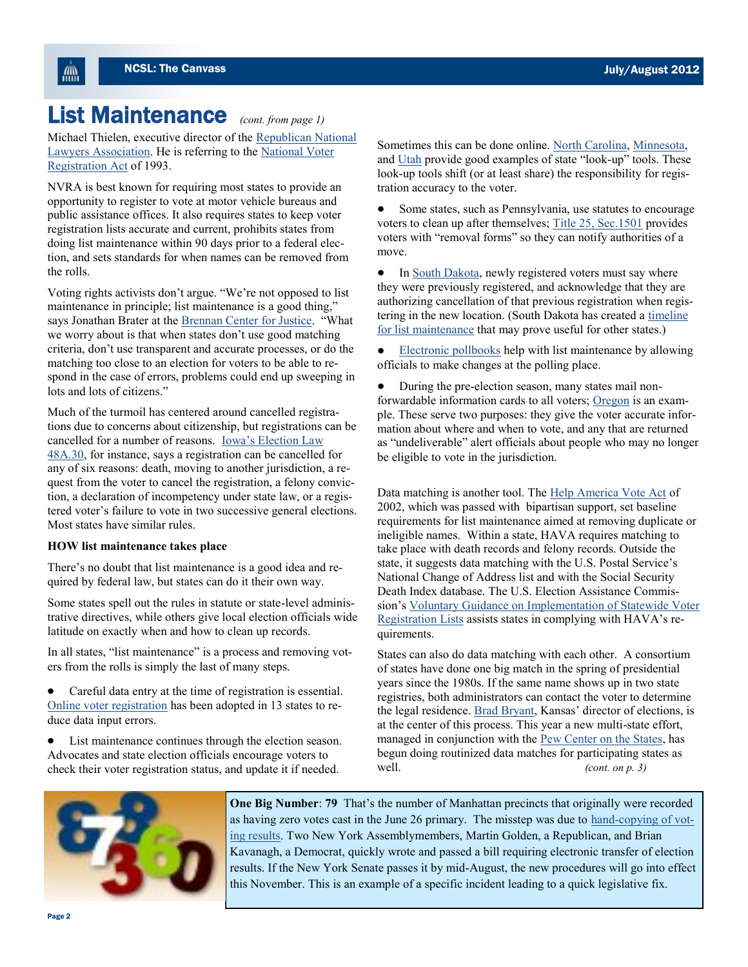### List Maintenance (cont. from page 1)

ÆШ.

Michael Thielen, executive director of the [Republican National](http://www.rnla.org/)  [Lawyers Association.](http://www.rnla.org/) He is referring to the [National Voter](http://www.justice.gov/crt/about/vot/nvra/nvra_faq.php)  [Registration Act](http://www.justice.gov/crt/about/vot/nvra/nvra_faq.php) of 1993.

NVRA is best known for requiring most states to provide an opportunity to register to vote at motor vehicle bureaus and public assistance offices. It also requires states to keep voter registration lists accurate and current, prohibits states from doing list maintenance within 90 days prior to a federal election, and sets standards for when names can be removed from the rolls.

Voting rights activists don't argue. "We're not opposed to list maintenance in principle; list maintenance is a good thing," says Jonathan Brater at the [Brennan Center for Justice](http://www.brennancenter.org/content/section/category/voter_purges_and_challenges). "What we worry about is that when states don't use good matching criteria, don't use transparent and accurate processes, or do the matching too close to an election for voters to be able to respond in the case of errors, problems could end up sweeping in lots and lots of citizens."

Much of the turmoil has centered around cancelled registrations due to concerns about citizenship, but registrations can be cancelled for a number of reasons. [Iowa's Election Law](https://www.legis.iowa.gov/DOCS/ElectionLaws/ElectionLaws.pdf)  [48A.30,](https://www.legis.iowa.gov/DOCS/ElectionLaws/ElectionLaws.pdf) for instance, says a registration can be cancelled for any of six reasons: death, moving to another jurisdiction, a request from the voter to cancel the registration, a felony conviction, a declaration of incompetency under state law, or a registered voter's failure to vote in two successive general elections. Most states have similar rules.

#### **HOW list maintenance takes place**

There's no doubt that list maintenance is a good idea and required by federal law, but states can do it their own way.

Some states spell out the rules in statute or state-level administrative directives, while others give local election officials wide latitude on exactly when and how to clean up records.

In all states, "list maintenance" is a process and removing voters from the rolls is simply the last of many steps.

Careful data entry at the time of registration is essential. [Online voter registration](http://www.ncsl.org/default.aspx?Tabid=18421) has been adopted in 13 states to reduce data input errors.

List maintenance continues through the election season. Advocates and state election officials encourage voters to check their voter registration status, and update it if needed.

Sometimes this can be done online. [North Carolina,](https://www.ncsbe.gov/voterlookup.aspx) [Minnesota,](https://mnvotes.sos.state.mn.us/VoterStatus.aspx) and [Utah](http://vote.utah.gov/user/lookup/) provide good examples of state "look-up" tools. These look-up tools shift (or at least share) the responsibility for registration accuracy to the voter.

Some states, such as Pennsylvania, use statutes to encourage voters to clean up after themselves; [Title 25, Sec.1501](http://www.legis.state.pa.us/WU01/LI/LI/CT/HTM/25/00.015.001.000..HTM) provides voters with "removal forms" so they can notify authorities of a move.

 $\bullet$ In [South Dakota,](http://legis.state.sd.us/statutes/DisplayStatute.aspx?Type=Statute&Statute=12-4-12) newly registered voters must say where they were previously registered, and acknowledge that they are authorizing cancellation of that previous registration when registering in the new location. (South Dakota has created a [timeline](http://sdsos.gov/content/html/elections/electvoterpdfs/2011/List%20Maintenance%20Process%20Timeline.pdf)  [for list maintenance](http://sdsos.gov/content/html/elections/electvoterpdfs/2011/List%20Maintenance%20Process%20Timeline.pdf) that may prove useful for other states.)

[Electronic pollbooks](http://www.ncsl.org/legislatures-elections/elections/cnv-the-canvass-november-december-2011.aspx#Electronic_Pollbooks) help with list maintenance by allowing officials to make changes at the polling place.

During the pre-election season, many states mail nonforwardable information cards to all voters; [Oregon](http://www.oregonlaws.org/ors/247.563) is an example. These serve two purposes: they give the voter accurate information about where and when to vote, and any that are returned as "undeliverable" alert officials about people who may no longer be eligible to vote in the jurisdiction.

Data matching is another tool. The [Help America Vote Act](http://www.justice.gov/crt/about/vot/hava/hava.php) of 2002, which was passed with bipartisan support, set baseline requirements for list maintenance aimed at removing duplicate or ineligible names. Within a state, HAVA requires matching to take place with death records and felony records. Outside the state, it suggests data matching with the U.S. Postal Service's National Change of Address list and with the Social Security Death Index database. The U.S. Election Assistance Commission's [Voluntary Guidance on Implementation of Statewide Voter](http://www.eac.gov/assets/1/workflow_staging/Page/330.PDF)  [Registration Lists](http://www.eac.gov/assets/1/workflow_staging/Page/330.PDF) assists states in complying with HAVA's requirements.

States can also do data matching with each other. A consortium of states have done one big match in the spring of presidential years since the 1980s. If the same name shows up in two state registries, both administrators can contact the voter to determine the legal residence. [Brad Bryant](http://www.kssos.org/elections/elections.html), Kansas' director of elections, is at the center of this process. This year a new multi-state effort, managed in conjunction with the [Pew Center on the States,](http://www.pewstates.org/issues/election-administration-328132) has begun doing routinized data matches for participating states as well. *(cont. on p. 3)*



**One Big Number**: **79** That's the number of Manhattan precincts that originally were recorded as having zero votes cast in the June 26 primary. The misstep was due to [hand-copying of vot](http://www.nydailynews.com/new-york/rep-rangel-voting-snafu-sees-pols-unite-change-article-1.1109450)[ing results.](http://www.nydailynews.com/new-york/rep-rangel-voting-snafu-sees-pols-unite-change-article-1.1109450) Two New York Assemblymembers, Martin Golden, a Republican, and Brian Kavanagh, a Democrat, quickly wrote and passed a bill requiring electronic transfer of election results. If the New York Senate passes it by mid-August, the new procedures will go into effect this November. This is an example of a specific incident leading to a quick legislative fix.

Page 2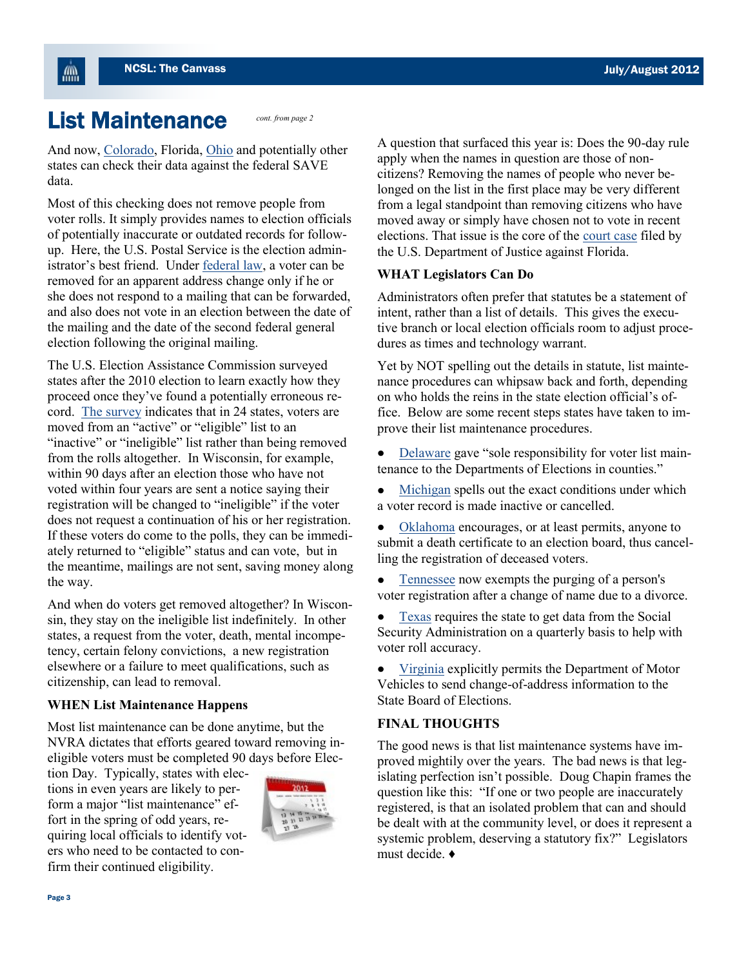### List Maintenance

**AM** 

And now, [Colorado,](http://www.denverpost.com/politics/ci_21089890/homeland-security-says-gessler-may-check-voter-citizenship?source=googlenews) Florida, [Ohio](http://www.cleveland.com/open/index.ssf/2012/07/jon_husted_asks_feds_for_immig.html) and potentially other states can check their data against the federal SAVE data.

*cont. from page 2*

Most of this checking does not remove people from voter rolls. It simply provides names to election officials of potentially inaccurate or outdated records for followup. Here, the U.S. Postal Service is the election administrator's best friend. Under [federal law,](http://www.justice.gov/crt/about/vot/nvra/activ_nvra.php) a voter can be removed for an apparent address change only if he or she does not respond to a mailing that can be forwarded, and also does not vote in an election between the date of the mailing and the date of the second federal general election following the original mailing.

The U.S. Election Assistance Commission surveyed states after the 2010 election to learn exactly how they proceed once they've found a potentially erroneous record. [The survey](http://www.eac.gov/assets/1/Documents/FINAL_2010%20Statutory%20Overview%20Report.pdf) indicates that in 24 states, voters are moved from an "active" or "eligible" list to an "inactive" or "ineligible" list rather than being removed from the rolls altogether. In Wisconsin, for example, within 90 days after an election those who have not voted within four years are sent a notice saying their registration will be changed to "ineligible" if the voter does not request a continuation of his or her registration. If these voters do come to the polls, they can be immediately returned to "eligible" status and can vote, but in the meantime, mailings are not sent, saving money along the way.

And when do voters get removed altogether? In Wisconsin, they stay on the ineligible list indefinitely. In other states, a request from the voter, death, mental incompetency, certain felony convictions, a new registration elsewhere or a failure to meet qualifications, such as citizenship, can lead to removal.

#### **WHEN List Maintenance Happens**

Most list maintenance can be done anytime, but the NVRA dictates that efforts geared toward removing ineligible voters must be completed 90 days before Elec-

tion Day. Typically, states with elections in even years are likely to perform a major "list maintenance" effort in the spring of odd years, requiring local officials to identify voters who need to be contacted to confirm their continued eligibility.



A question that surfaced this year is: Does the 90-day rule apply when the names in question are those of noncitizens? Removing the names of people who never belonged on the list in the first place may be very different from a legal standpoint than removing citizens who have moved away or simply have chosen not to vote in recent elections. That issue is the core of the [court case](http://www.justice.gov/iso/opa/resources/5382012612163855249486.pdf) filed by the U.S. Department of Justice against Florida.

#### **WHAT Legislators Can Do**

Administrators often prefer that statutes be a statement of intent, rather than a list of details. This gives the executive branch or local election officials room to adjust procedures as times and technology warrant.

Yet by NOT spelling out the details in statute, list maintenance procedures can whipsaw back and forth, depending on who holds the reins in the state election official's office. Below are some recent steps states have taken to improve their list maintenance procedures.

- [Delaware](http://legis.delaware.gov/lis/lis146.nsf/vwLegislation/HB+196?Opendocument) gave "sole responsibility for voter list maintenance to the Departments of Elections in counties."
- [Michigan](http://www.legislature.mi.gov/documents/2011-2012/publicact/htm/2012-PA-0270.htm) spells out the exact conditions under which a voter record is made inactive or cancelled.
- [Oklahoma](http://www.oklegislature.gov/BillInfo.aspx?Bill=SB301&Session=1200) encourages, or at least permits, anyone to submit a death certificate to an election board, thus cancelling the registration of deceased voters.
- [Tennessee](http://www.capitol.tn.gov/Bills/107/Bill/HB0377.pdf) now exempts the purging of a person's voter registration after a change of name due to a divorce.
- [Texas](http://www.legis.state.tx.us/tlodocs/82R/billtext/pdf/SB01046F.pdf#navpanes=0) requires the state to get data from the Social Security Administration on a quarterly basis to help with voter roll accuracy.
- [Virginia](http://leg1.state.va.us/cgi-bin/legp504.exe?121+ful+CHAP0662) explicitly permits the Department of Motor Vehicles to send change-of-address information to the State Board of Elections.

#### **FINAL THOUGHTS**

The good news is that list maintenance systems have improved mightily over the years. The bad news is that legislating perfection isn't possible. Doug Chapin frames the question like this: "If one or two people are inaccurately registered, is that an isolated problem that can and should be dealt with at the community level, or does it represent a systemic problem, deserving a statutory fix?" Legislators must decide. ♦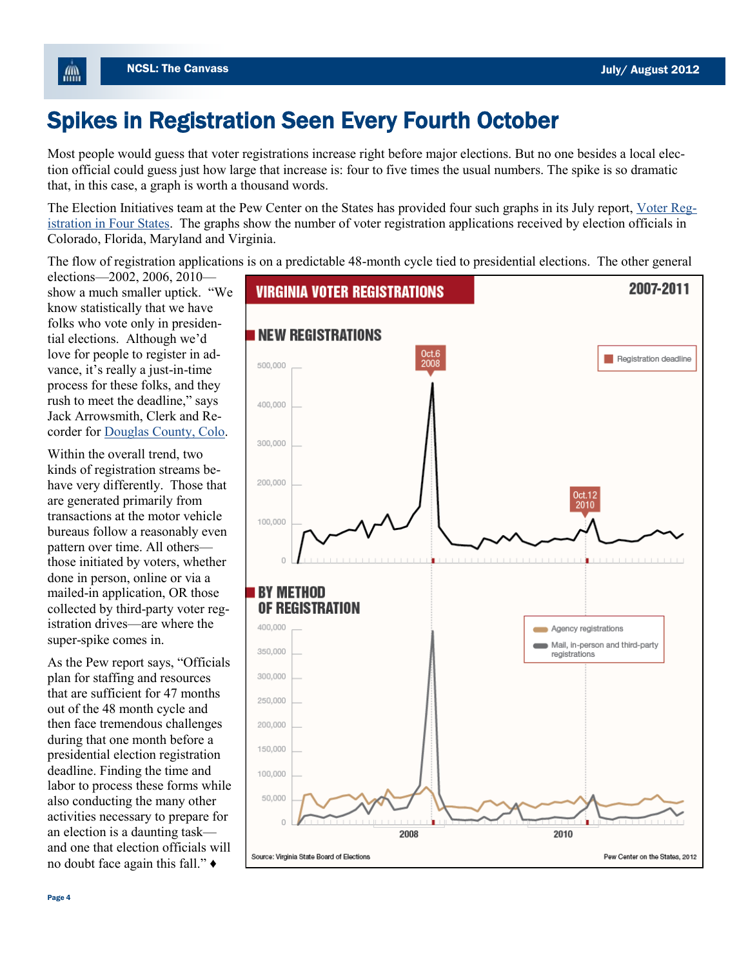## Spikes in Registration Seen Every Fourth October

Most people would guess that voter registrations increase right before major elections. But no one besides a local election official could guess just how large that increase is: four to five times the usual numbers. The spike is so dramatic that, in this case, a graph is worth a thousand words.

The Election Initiatives team at the Pew Center on the States has provided four such graphs in its July report, [Voter Reg](http://www.pewstates.org/research/reports/voter-registration-in-four-states-85899404991?p=1)[istration in Four States.](http://www.pewstates.org/research/reports/voter-registration-in-four-states-85899404991?p=1) The graphs show the number of voter registration applications received by election officials in Colorado, Florida, Maryland and Virginia.

The flow of registration applications is on a predictable 48-month cycle tied to presidential elections. The other general

elections—2002, 2006, 2010 show a much smaller uptick. "We know statistically that we have folks who vote only in presidential elections. Although we'd love for people to register in advance, it's really a just-in-time process for these folks, and they rush to meet the deadline," says Jack Arrowsmith, Clerk and Recorder for [Douglas County, Colo.](http://www.douglas.co.us/clerk/elections/index.html)

Within the overall trend, two kinds of registration streams behave very differently. Those that are generated primarily from transactions at the motor vehicle bureaus follow a reasonably even pattern over time. All others those initiated by voters, whether done in person, online or via a mailed-in application, OR those collected by third-party voter registration drives—are where the super-spike comes in.

As the Pew report says, "Officials plan for staffing and resources that are sufficient for 47 months out of the 48 month cycle and then face tremendous challenges during that one month before a presidential election registration deadline. Finding the time and labor to process these forms while also conducting the many other activities necessary to prepare for an election is a daunting task and one that election officials will no doubt face again this fall." ♦



儡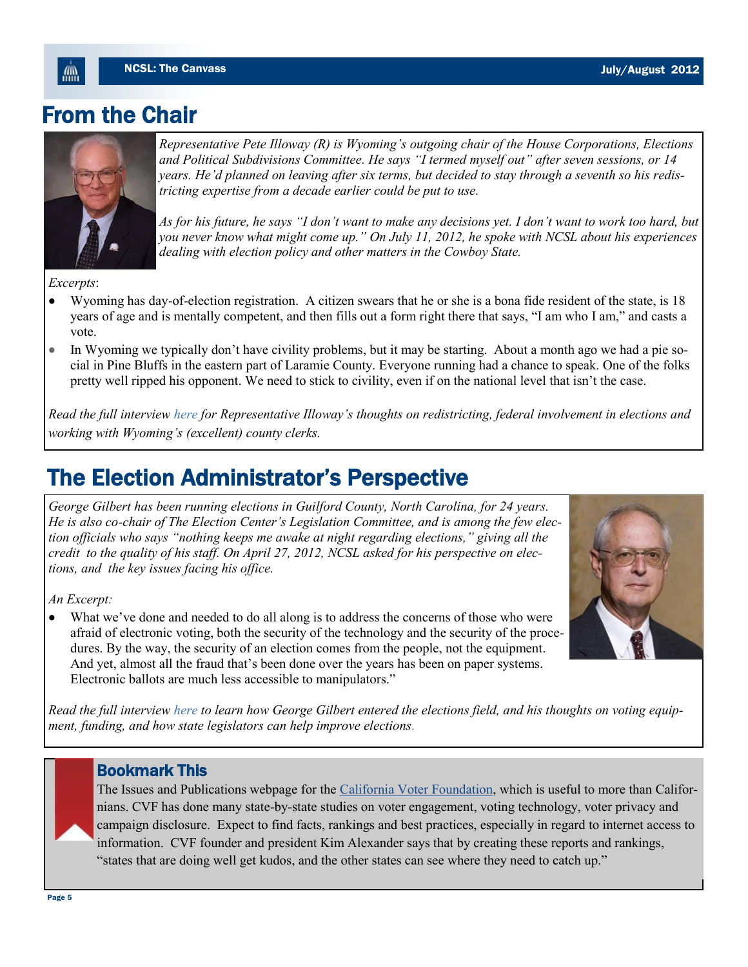### From the Chair



*Representative Pete Illoway (R) is Wyoming's outgoing chair of the House Corporations, Elections and Political Subdivisions Committee. He says "I termed myself out" after seven sessions, or 14 years. He'd planned on leaving after six terms, but decided to stay through a seventh so his redistricting expertise from a decade earlier could be put to use.* 

*As for his future, he says "I don't want to make any decisions yet. I don't want to work too hard, but you never know what might come up." On July 11, 2012, he spoke with NCSL about his experiences dealing with election policy and other matters in the Cowboy State.*

*Excerpts*:

- Wyoming has day-of-election registration. A citizen swears that he or she is a bona fide resident of the state, is 18  $\bullet$ years of age and is mentally competent, and then fills out a form right there that says, "I am who I am," and casts a vote.
- In Wyoming we typically don't have civility problems, but it may be starting. About a month ago we had a pie so- $\bullet$ cial in Pine Bluffs in the eastern part of Laramie County. Everyone running had a chance to speak. One of the folks pretty well ripped his opponent. We need to stick to civility, even if on the national level that isn't the case.

*Read the full interview [here](http://www.ncsl.org/default.aspx?Tabid=24216) for Representative Illoway's thoughts on redistricting, federal involvement in elections and working with Wyoming's (excellent) county clerks.*

### The Election Administrator's Perspective

*George Gilbert has been running elections in Guilford County, North Carolina, for 24 years. He is also co-chair of The Election Center's Legislation Committee, and is among the few election officials who says "nothing keeps me awake at night regarding elections," giving all the credit to the quality of his staff. On April 27, 2012, NCSL asked for his perspective on elections, and the key issues facing his office.*

*An Excerpt:* 

What we've done and needed to do all along is to address the concerns of those who were afraid of electronic voting, both the security of the technology and the security of the procedures. By the way, the security of an election comes from the people, not the equipment. And yet, almost all the fraud that's been done over the years has been on paper systems. Electronic ballots are much less accessible to manipulators."



*Read the full interview [here](http://www.ncsl.org/default.aspx?Tabid=24217) to learn how George Gilbert entered the elections field, and his thoughts on voting equipment, funding, and how state legislators can help improve elections.* 

### Bookmark This

The Issues and Publications webpage for the [California Voter Foundation,](http://www.calvoter.org/issues/index.html) which is useful to more than Californians. CVF has done many state-by-state studies on voter engagement, voting technology, voter privacy and campaign disclosure. Expect to find facts, rankings and best practices, especially in regard to internet access to information. CVF founder and president Kim Alexander says that by creating these reports and rankings, "states that are doing well get kudos, and the other states can see where they need to catch up."

ÆШ